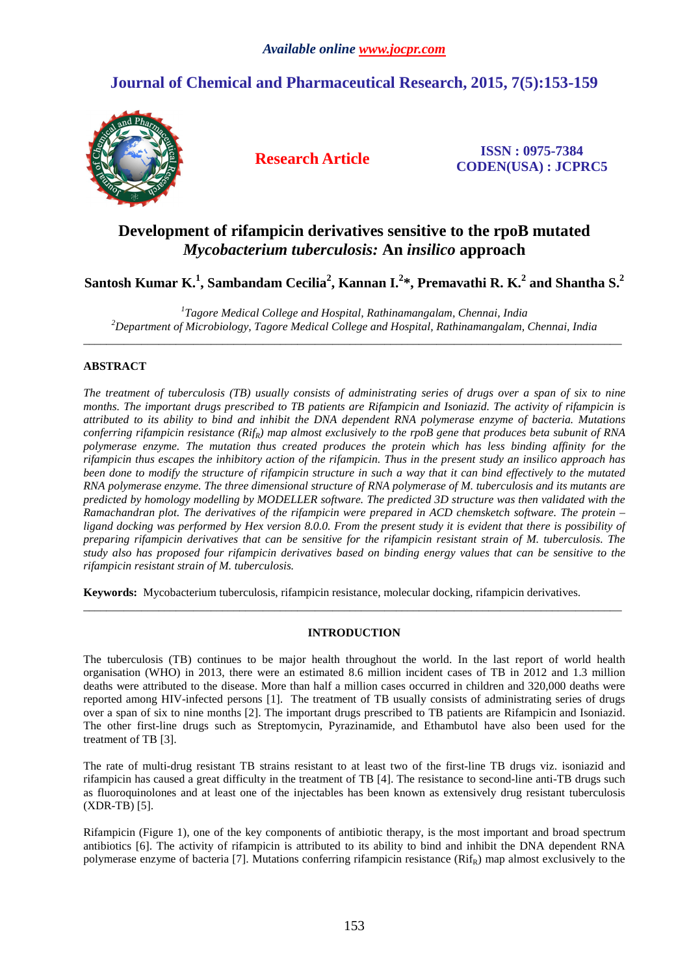# **Journal of Chemical and Pharmaceutical Research, 2015, 7(5):153-159**



**Research Article ISSN : 0975-7384 CODEN(USA) : JCPRC5**

## **Development of rifampicin derivatives sensitive to the rpoB mutated**  *Mycobacterium tuberculosis:* **An** *insilico* **approach**

**Santosh Kumar K.<sup>1</sup> , Sambandam Cecilia<sup>2</sup> , Kannan I.<sup>2</sup> \*, Premavathi R. K.<sup>2</sup> and Shantha S.<sup>2</sup>**

*1 Tagore Medical College and Hospital, Rathinamangalam, Chennai, India <sup>2</sup>Department of Microbiology, Tagore Medical College and Hospital, Rathinamangalam, Chennai, India*   $\overline{a}$  , and the contribution of the contribution of the contribution of the contribution of the contribution of the contribution of the contribution of the contribution of the contribution of the contribution of the co

## **ABSTRACT**

*The treatment of tuberculosis (TB) usually consists of administrating series of drugs over a span of six to nine months. The important drugs prescribed to TB patients are Rifampicin and Isoniazid. The activity of rifampicin is attributed to its ability to bind and inhibit the DNA dependent RNA polymerase enzyme of bacteria. Mutations conferring rifampicin resistance (RifR) map almost exclusively to the rpoB gene that produces beta subunit of RNA polymerase enzyme. The mutation thus created produces the protein which has less binding affinity for the rifampicin thus escapes the inhibitory action of the rifampicin. Thus in the present study an insilico approach has been done to modify the structure of rifampicin structure in such a way that it can bind effectively to the mutated RNA polymerase enzyme. The three dimensional structure of RNA polymerase of M. tuberculosis and its mutants are predicted by homology modelling by MODELLER software. The predicted 3D structure was then validated with the Ramachandran plot. The derivatives of the rifampicin were prepared in ACD chemsketch software. The protein – ligand docking was performed by Hex version 8.0.0. From the present study it is evident that there is possibility of preparing rifampicin derivatives that can be sensitive for the rifampicin resistant strain of M. tuberculosis. The study also has proposed four rifampicin derivatives based on binding energy values that can be sensitive to the rifampicin resistant strain of M. tuberculosis.* 

**Keywords:** Mycobacterium tuberculosis, rifampicin resistance, molecular docking, rifampicin derivatives.

## **INTRODUCTION**

\_\_\_\_\_\_\_\_\_\_\_\_\_\_\_\_\_\_\_\_\_\_\_\_\_\_\_\_\_\_\_\_\_\_\_\_\_\_\_\_\_\_\_\_\_\_\_\_\_\_\_\_\_\_\_\_\_\_\_\_\_\_\_\_\_\_\_\_\_\_\_\_\_\_\_\_\_\_\_\_\_\_\_\_\_\_\_\_\_\_\_\_\_

The tuberculosis (TB) continues to be major health throughout the world. In the last report of world health organisation (WHO) in 2013, there were an estimated 8.6 million incident cases of TB in 2012 and 1.3 million deaths were attributed to the disease. More than half a million cases occurred in children and 320,000 deaths were reported among HIV-infected persons [1]. The treatment of TB usually consists of administrating series of drugs over a span of six to nine months [2]. The important drugs prescribed to TB patients are Rifampicin and Isoniazid. The other first-line drugs such as Streptomycin, Pyrazinamide, and Ethambutol have also been used for the treatment of TB [3].

The rate of multi-drug resistant TB strains resistant to at least two of the first-line TB drugs viz. isoniazid and rifampicin has caused a great difficulty in the treatment of TB [4]. The resistance to second-line anti-TB drugs such as fluoroquinolones and at least one of the injectables has been known as extensively drug resistant tuberculosis (XDR-TB) [5].

Rifampicin (Figure 1), one of the key components of antibiotic therapy, is the most important and broad spectrum antibiotics [6]. The activity of rifampicin is attributed to its ability to bind and inhibit the DNA dependent RNA polymerase enzyme of bacteria [7]. Mutations conferring rifampicin resistance  $(Rif_R)$  map almost exclusively to the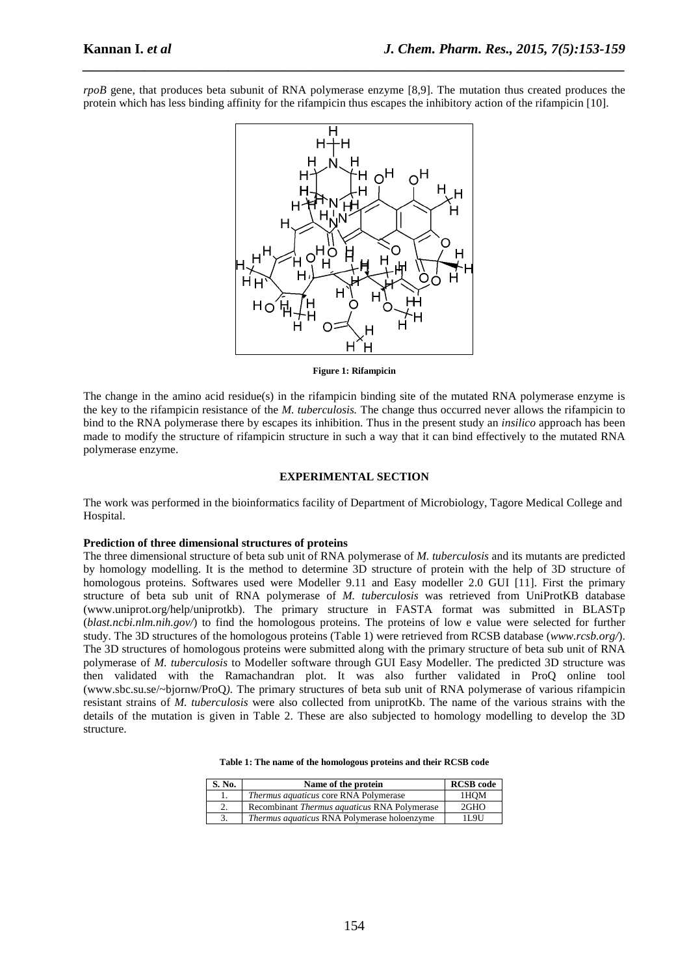*rpoB* gene, that produces beta subunit of RNA polymerase enzyme [8,9]. The mutation thus created produces the protein which has less binding affinity for the rifampicin thus escapes the inhibitory action of the rifampicin [10].

*\_\_\_\_\_\_\_\_\_\_\_\_\_\_\_\_\_\_\_\_\_\_\_\_\_\_\_\_\_\_\_\_\_\_\_\_\_\_\_\_\_\_\_\_\_\_\_\_\_\_\_\_\_\_\_\_\_\_\_\_\_\_\_\_\_\_\_\_\_\_\_\_\_\_\_\_\_\_*



**Figure 1: Rifampicin** 

The change in the amino acid residue(s) in the rifampicin binding site of the mutated RNA polymerase enzyme is the key to the rifampicin resistance of the *M. tuberculosis.* The change thus occurred never allows the rifampicin to bind to the RNA polymerase there by escapes its inhibition. Thus in the present study an *insilico* approach has been made to modify the structure of rifampicin structure in such a way that it can bind effectively to the mutated RNA polymerase enzyme.

## **EXPERIMENTAL SECTION**

The work was performed in the bioinformatics facility of Department of Microbiology, Tagore Medical College and Hospital.

#### **Prediction of three dimensional structures of proteins**

The three dimensional structure of beta sub unit of RNA polymerase of *M. tuberculosis* and its mutants are predicted by homology modelling. It is the method to determine 3D structure of protein with the help of 3D structure of homologous proteins. Softwares used were Modeller 9.11 and Easy modeller 2.0 GUI [11]. First the primary structure of beta sub unit of RNA polymerase of *M. tuberculosis* was retrieved from UniProtKB database (www.uniprot.org/help/uniprotkb ). The primary structure in FASTA format was submitted in BLASTp (*blast.ncbi.nlm.nih.gov*/) to find the homologous proteins. The proteins of low e value were selected for further study. The 3D structures of the homologous proteins (Table 1) were retrieved from RCSB database (*www.rcsb.org/* ). The 3D structures of homologous proteins were submitted along with the primary structure of beta sub unit of RNA polymerase of *M. tuberculosis* to Modeller software through GUI Easy Modeller. The predicted 3D structure was then validated with the Ramachandran plot. It was also further validated in ProQ online tool (www.sbc.su.se/~bjornw/ProQ*).* The primary structures of beta sub unit of RNA polymerase of various rifampicin resistant strains of *M. tuberculosis* were also collected from uniprotKb. The name of the various strains with the details of the mutation is given in Table 2. These are also subjected to homology modelling to develop the 3D structure.

| Table 1: The name of the homologous proteins and their RCSB code |  |
|------------------------------------------------------------------|--|
|------------------------------------------------------------------|--|

| S. No. | Name of the protein                                 | <b>RCSB</b> code |
|--------|-----------------------------------------------------|------------------|
| Ι.     | <i>Thermus aquaticus</i> core RNA Polymerase        | 1HOM             |
| 2.     | Recombinant <i>Thermus aquaticus</i> RNA Polymerase | 2GHO             |
| 3.     | <i>Thermus aquaticus</i> RNA Polymerase holoenzyme  | 11.9U            |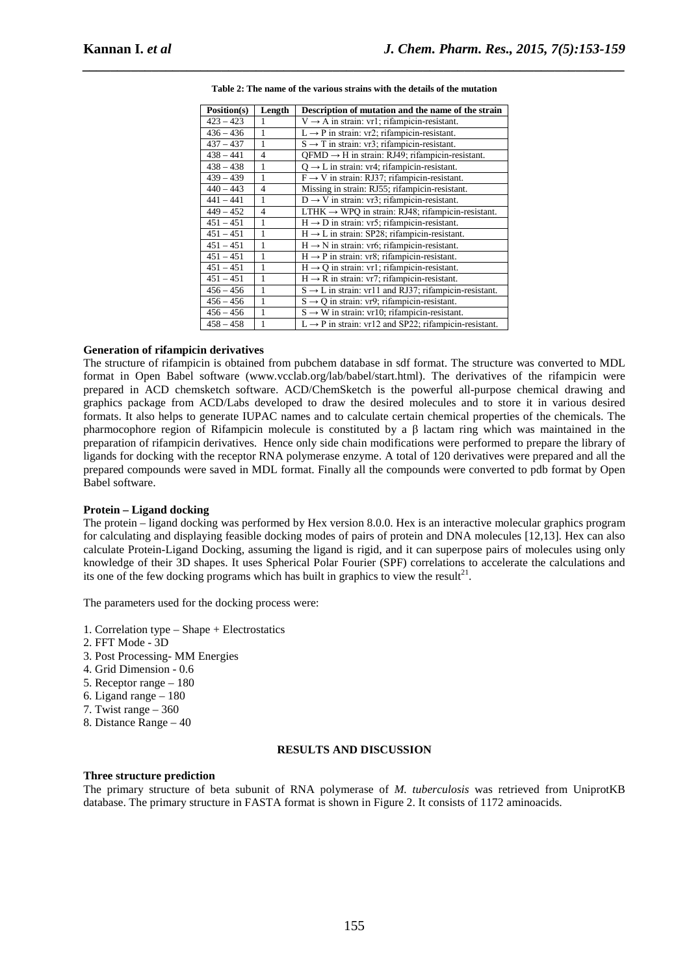| Position(s) | Length         | Description of mutation and the name of the strain                |
|-------------|----------------|-------------------------------------------------------------------|
| $423 - 423$ | 1              | $V \rightarrow A$ in strain: vr1; rifampicin-resistant.           |
| $436 - 436$ | 1              | $L \rightarrow P$ in strain: vr2; rifampicin-resistant.           |
| $437 - 437$ | 1              | $S \rightarrow T$ in strain: vr3; rifampicin-resistant.           |
| $438 - 441$ | $\overline{4}$ | $QFMD \rightarrow H$ in strain: RJ49; rifampicin-resistant.       |
| $438 - 438$ | 1              | $Q \rightarrow L$ in strain: vr4; rifampicin-resistant.           |
| $439 - 439$ | 1              | $F \rightarrow V$ in strain: RJ37; rifampicin-resistant.          |
| $440 - 443$ | $\overline{4}$ | Missing in strain: RJ55; rifampicin-resistant.                    |
| $441 - 441$ | 1              | $D \rightarrow V$ in strain: vr3; rifampicin-resistant.           |
| $449 - 452$ | $\overline{4}$ | LTHK $\rightarrow$ WPQ in strain: RJ48; rifampicin-resistant.     |
| $451 - 451$ | 1              | $H \rightarrow D$ in strain: vr5; rifampicin-resistant.           |
| $451 - 451$ | 1              | $H \rightarrow L$ in strain: SP28; rifampicin-resistant.          |
| $451 - 451$ | 1              | $H \rightarrow N$ in strain: vr6; rifampicin-resistant.           |
| $451 - 451$ | 1              | $H \rightarrow P$ in strain: vr8; rifampicin-resistant.           |
| $451 - 451$ | 1              | $H \rightarrow Q$ in strain: vr1; rifampicin-resistant.           |
| $451 - 451$ | 1              | $H \rightarrow R$ in strain: vr7; rifampicin-resistant.           |
| $456 - 456$ | 1              | $S \rightarrow L$ in strain: vr11 and RJ37; rifampicin-resistant. |
| $456 - 456$ | 1              | $S \rightarrow Q$ in strain: vr9; rifampicin-resistant.           |
| $456 - 456$ | 1              | $S \rightarrow W$ in strain: vr10; rifampicin-resistant.          |
| $458 - 458$ | 1              | $L \rightarrow P$ in strain: vr12 and SP22; rifampicin-resistant. |

*\_\_\_\_\_\_\_\_\_\_\_\_\_\_\_\_\_\_\_\_\_\_\_\_\_\_\_\_\_\_\_\_\_\_\_\_\_\_\_\_\_\_\_\_\_\_\_\_\_\_\_\_\_\_\_\_\_\_\_\_\_\_\_\_\_\_\_\_\_\_\_\_\_\_\_\_\_\_* **Table 2: The name of the various strains with the details of the mutation** 

### **Generation of rifampicin derivatives**

The structure of rifampicin is obtained from pubchem database in sdf format. The structure was converted to MDL format in Open Babel software (www.vcclab.org/lab/babel/start.html). The derivatives of the rifampicin were prepared in ACD chemsketch software. ACD/ChemSketch is the powerful all-purpose chemical drawing and graphics package from ACD/Labs developed to draw the desired molecules and to store it in various desired formats. It also helps to generate IUPAC names and to calculate certain chemical properties of the chemicals. The pharmocophore region of Rifampicin molecule is constituted by a β lactam ring which was maintained in the preparation of rifampicin derivatives. Hence only side chain modifications were performed to prepare the library of ligands for docking with the receptor RNA polymerase enzyme. A total of 120 derivatives were prepared and all the prepared compounds were saved in MDL format. Finally all the compounds were converted to pdb format by Open Babel software.

## **Protein – Ligand docking**

The protein – ligand docking was performed by Hex version 8.0.0. Hex is an interactive molecular graphics program for calculating and displaying feasible docking modes of pairs of protein and DNA molecules [12,13]. Hex can also calculate Protein-Ligand Docking, assuming the ligand is rigid, and it can superpose pairs of molecules using only knowledge of their 3D shapes. It uses Spherical Polar Fourier (SPF) correlations to accelerate the calculations and its one of the few docking programs which has built in graphics to view the result<sup>21</sup>.

The parameters used for the docking process were:

- 1. Correlation type Shape + Electrostatics
- 2. FFT Mode 3D
- 3. Post Processing- MM Energies
- 4. Grid Dimension 0.6
- 5. Receptor range 180
- 6. Ligand range 180
- 7. Twist range 360
- 8. Distance Range 40

## **RESULTS AND DISCUSSION**

#### **Three structure prediction**

The primary structure of beta subunit of RNA polymerase of *M. tuberculosis* was retrieved from UniprotKB database. The primary structure in FASTA format is shown in Figure 2. It consists of 1172 aminoacids.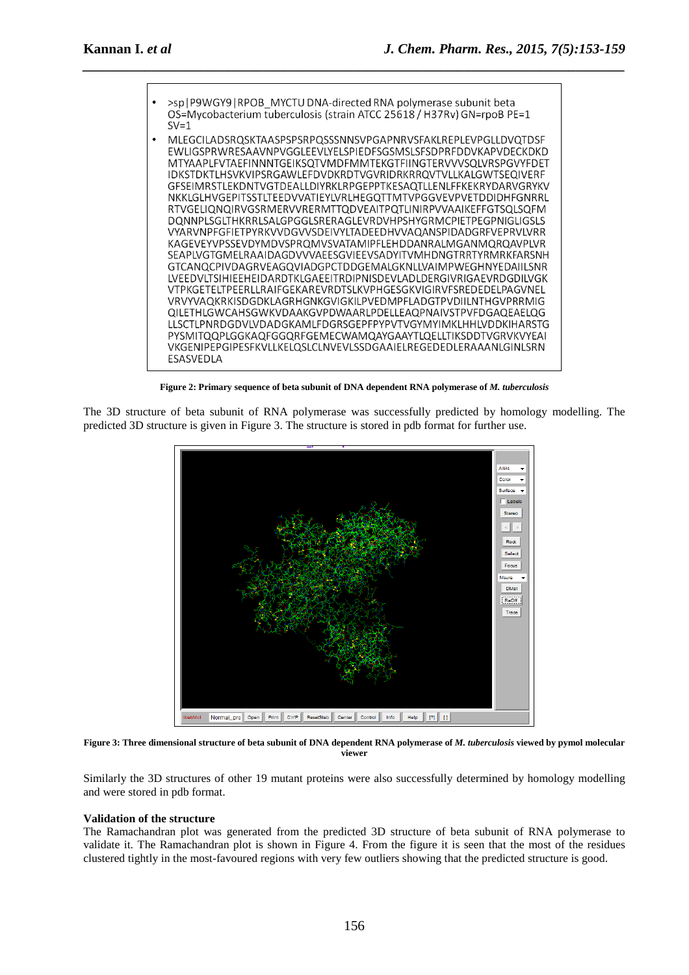

*\_\_\_\_\_\_\_\_\_\_\_\_\_\_\_\_\_\_\_\_\_\_\_\_\_\_\_\_\_\_\_\_\_\_\_\_\_\_\_\_\_\_\_\_\_\_\_\_\_\_\_\_\_\_\_\_\_\_\_\_\_\_\_\_\_\_\_\_\_\_\_\_\_\_\_\_\_\_*

**Figure 2: Primary sequence of beta subunit of DNA dependent RNA polymerase of** *M. tuberculosis* 

The 3D structure of beta subunit of RNA polymerase was successfully predicted by homology modelling. The predicted 3D structure is given in Figure 3. The structure is stored in pdb format for further use.



**Figure 3: Three dimensional structure of beta subunit of DNA dependent RNA polymerase of** *M. tuberculosis* **viewed by pymol molecular viewer** 

Similarly the 3D structures of other 19 mutant proteins were also successfully determined by homology modelling and were stored in pdb format.

#### **Validation of the structure**

The Ramachandran plot was generated from the predicted 3D structure of beta subunit of RNA polymerase to validate it. The Ramachandran plot is shown in Figure 4. From the figure it is seen that the most of the residues clustered tightly in the most-favoured regions with very few outliers showing that the predicted structure is good.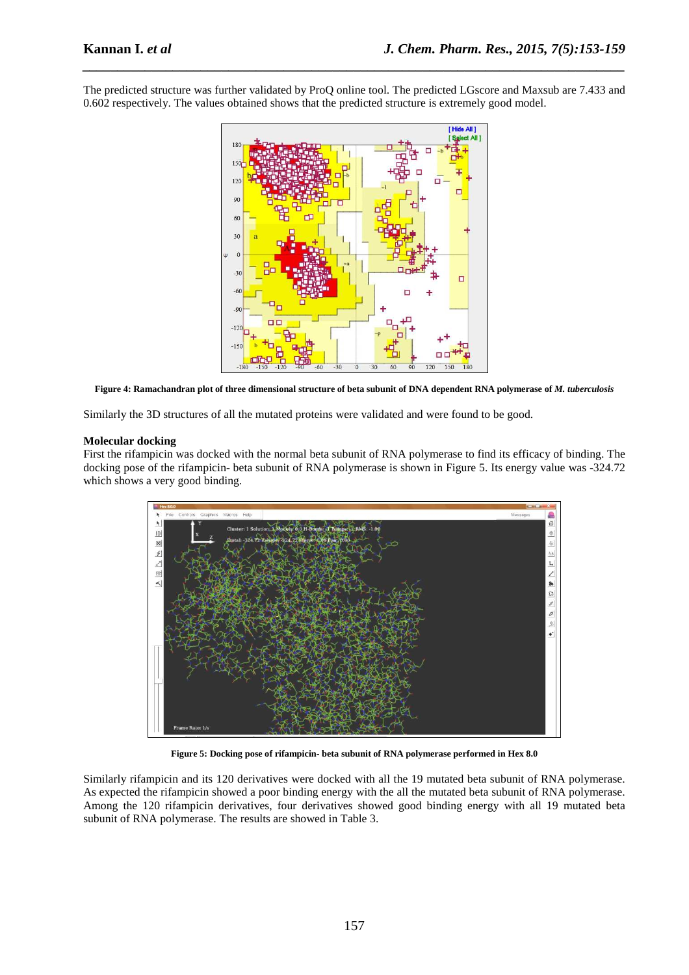The predicted structure was further validated by ProQ online tool. The predicted LGscore and Maxsub are 7.433 and 0.602 respectively. The values obtained shows that the predicted structure is extremely good model.

*\_\_\_\_\_\_\_\_\_\_\_\_\_\_\_\_\_\_\_\_\_\_\_\_\_\_\_\_\_\_\_\_\_\_\_\_\_\_\_\_\_\_\_\_\_\_\_\_\_\_\_\_\_\_\_\_\_\_\_\_\_\_\_\_\_\_\_\_\_\_\_\_\_\_\_\_\_\_*



Figure 4: Ramachandran plot of three dimensional structure of beta subunit of DNA dependent RNA polymerase of *M. tuberculosis* 

Similarly the 3D structures of all the mutated proteins were validated and were found to be good.

### **Molecular docking**

First the rifampicin was docked with the normal beta subunit of RNA polymerase to find its efficacy of binding. The docking pose of the rifampicin- beta subunit of RNA polymerase is shown in Figure 5. Its energy value was -324.72 which shows a very good binding.



**Figure 5: Docking pose of rifampicin- beta subunit of RNA polymerase performed in Hex 8.0** 

Similarly rifampicin and its 120 derivatives were docked with all the 19 mutated beta subunit of RNA polymerase. As expected the rifampicin showed a poor binding energy with the all the mutated beta subunit of RNA polymerase. Among the 120 rifampicin derivatives, four derivatives showed good binding energy with all 19 mutated beta subunit of RNA polymerase. The results are showed in Table 3.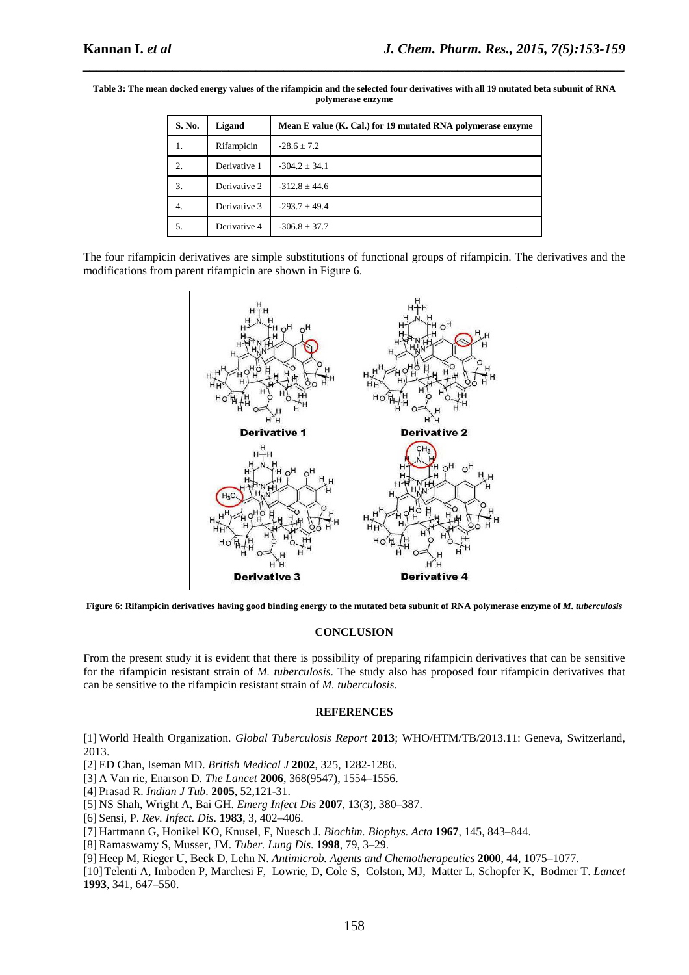| S. No. | Ligand       | Mean E value (K. Cal.) for 19 mutated RNA polymerase enzyme |
|--------|--------------|-------------------------------------------------------------|
| 1.     | Rifampicin   | $-28.6 + 7.2$                                               |
| 2.     | Derivative 1 | $-304.2 + 34.1$                                             |
| 3.     | Derivative 2 | $-312.8 + 44.6$                                             |
| 4.     | Derivative 3 | $-293.7 + 49.4$                                             |
| 5.     | Derivative 4 | $-306.8 \pm 37.7$                                           |

**Table 3: The mean docked energy values of the rifampicin and the selected four derivatives with all 19 mutated beta subunit of RNA polymerase enzyme** 

*\_\_\_\_\_\_\_\_\_\_\_\_\_\_\_\_\_\_\_\_\_\_\_\_\_\_\_\_\_\_\_\_\_\_\_\_\_\_\_\_\_\_\_\_\_\_\_\_\_\_\_\_\_\_\_\_\_\_\_\_\_\_\_\_\_\_\_\_\_\_\_\_\_\_\_\_\_\_*

The four rifampicin derivatives are simple substitutions of functional groups of rifampicin. The derivatives and the modifications from parent rifampicin are shown in Figure 6.



**Figure 6: Rifampicin derivatives having good binding energy to the mutated beta subunit of RNA polymerase enzyme of** *M. tuberculosis*

#### **CONCLUSION**

From the present study it is evident that there is possibility of preparing rifampicin derivatives that can be sensitive for the rifampicin resistant strain of *M. tuberculosis*. The study also has proposed four rifampicin derivatives that can be sensitive to the rifampicin resistant strain of *M. tuberculosis*.

#### **REFERENCES**

[1] World Health Organization. *Global Tuberculosis Report* **2013**; WHO/HTM/TB/2013.11: Geneva, Switzerland, 2013.

- [2] ED Chan, Iseman MD. *British Medical J* **2002**, 325, 1282-1286.
- [3] A Van rie, Enarson D. *The Lancet* **2006**, 368(9547), 1554–1556.
- [4] Prasad R. *Indian J Tub*. **2005**, 52,121-31.
- [5] NS Shah, Wright A, Bai GH. *Emerg Infect Dis* **2007**, 13(3), 380–387.
- [6] Sensi, P. *Rev. Infect. Dis*. **1983**, 3, 402–406.
- [7] Hartmann G, Honikel KO, Knusel, F, Nuesch J. *Biochim. Biophys. Acta* **1967**, 145, 843–844.
- [8] Ramaswamy S, Musser, JM. *Tuber. Lung Dis*. **1998**, 79, 3–29.
- [9] Heep M, Rieger U, Beck D, Lehn N. *Antimicrob. Agents and Chemotherapeutics* **2000**, 44, 1075–1077.

[10]Telenti A, Imboden P, Marchesi F, Lowrie, D, Cole S, Colston, MJ, Matter L, Schopfer K, Bodmer T. *Lancet*  **1993**, 341, 647–550.